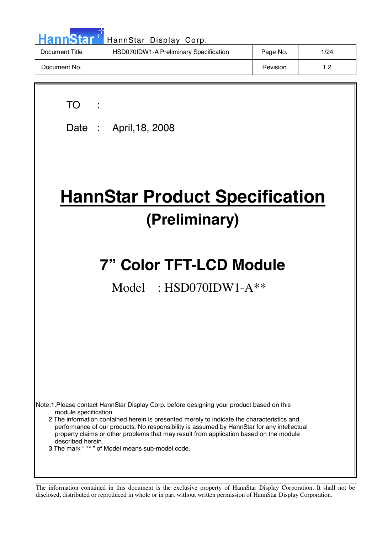| HannStar <sup>*</sup> | HannStar Display Corp.                 |          |      |
|-----------------------|----------------------------------------|----------|------|
| Document Title        | HSD070IDW1-A Preliminary Specification | Page No. | 1/24 |
| Document No.          |                                        | Revision | 1.2  |

| TO:                                                                                                                                                                                                                                                                                                                                                                                                      |
|----------------------------------------------------------------------------------------------------------------------------------------------------------------------------------------------------------------------------------------------------------------------------------------------------------------------------------------------------------------------------------------------------------|
| Date: April, 18, 2008                                                                                                                                                                                                                                                                                                                                                                                    |
|                                                                                                                                                                                                                                                                                                                                                                                                          |
| <b>HannStar Product Specification</b>                                                                                                                                                                                                                                                                                                                                                                    |
| (Preliminary)                                                                                                                                                                                                                                                                                                                                                                                            |
|                                                                                                                                                                                                                                                                                                                                                                                                          |
| <b>7" Color TFT-LCD Module</b>                                                                                                                                                                                                                                                                                                                                                                           |
| Model: $HSD070IDW1-A**$                                                                                                                                                                                                                                                                                                                                                                                  |
|                                                                                                                                                                                                                                                                                                                                                                                                          |
|                                                                                                                                                                                                                                                                                                                                                                                                          |
|                                                                                                                                                                                                                                                                                                                                                                                                          |
|                                                                                                                                                                                                                                                                                                                                                                                                          |
|                                                                                                                                                                                                                                                                                                                                                                                                          |
| Note:1.Please contact HannStar Display Corp. before designing your product based on this<br>module specification.<br>2. The information contained herein is presented merely to indicate the characteristics and<br>performance of our products. No responsibility is assumed by HannStar for any intellectual<br>property claims or other problems that may result from application based on the module |
| described herein.<br>3. The mark "** " of Model means sub-model code.                                                                                                                                                                                                                                                                                                                                    |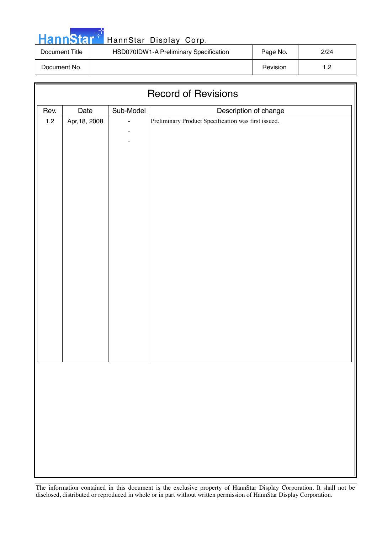|  | <b>HannStar</b> |  |
|--|-----------------|--|
|  |                 |  |

### HannStar Display Corp.

| Document Title | HSD070IDW1-A Preliminary Specification | Page No. | 2/24 |
|----------------|----------------------------------------|----------|------|
| Document No.   |                                        | Revision |      |

| <b>Record of Revisions</b> |               |           |                                                     |  |
|----------------------------|---------------|-----------|-----------------------------------------------------|--|
| Rev.                       | Date          | Sub-Model | Description of change                               |  |
| $1.2$                      | Apr, 18, 2008 |           | Preliminary Product Specification was first issued. |  |
|                            |               |           |                                                     |  |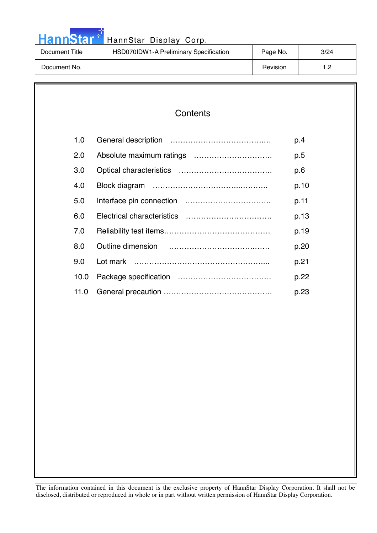|  |  | <b>HannStar</b> |  |
|--|--|-----------------|--|
|  |  |                 |  |

### HannStar Display Corp.

| Document Title | HSD070IDW1-A Preliminary Specification | Page No. | 3/24             |
|----------------|----------------------------------------|----------|------------------|
| Document No.   |                                        | Revision | 1.2 <sub>1</sub> |

### **Contents**

| 1.0  | p.4  |
|------|------|
| 2.0  | p.5  |
| 3.0  | p.6  |
| 4.0  | p.10 |
| 5.0  | p.11 |
| 6.0  | p.13 |
| 7.0  | p.19 |
| 8.0  | p.20 |
| 9.0  | p.21 |
| 10.0 | p.22 |
| 11.0 | p.23 |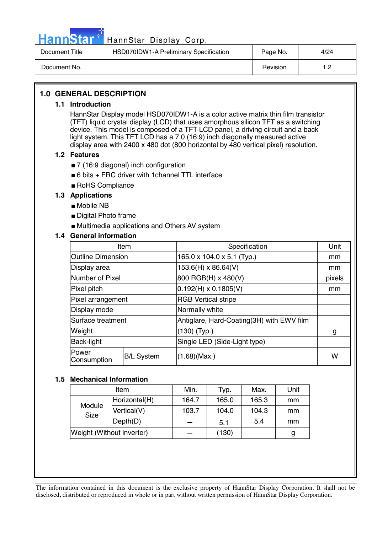

## Hann Star<sup>47</sup> HannStar Display Corp.

| Document Title | HSD070IDW1-A Preliminary Specification | Page No. | 4/24      |
|----------------|----------------------------------------|----------|-----------|
| Document No.   |                                        | Revision | ה ו-<br>. |

#### **1.0 GENERAL DESCRIPTION**

#### **1.1 Introduction**

HannStar Display model HSD070IDW1-A is a color active matrix thin film transistor (TFT) liquid crystal display (LCD) that uses amorphous silicon TFT as a switching device. This model is composed of a TFT LCD panel, a driving circuit and a back light system. This TFT LCD has a 7.0 (16:9) inch diagonally measured active display area with 2400 x 480 dot (800 horizontal by 480 vertical pixel) resolution.

#### **1.2 Features**

- 7 (16:9 diagonal) inch configuration
- $\blacksquare$  6 bits + FRC driver with 1 channel TTL interface
- RoHS Compliance

#### **1.3 Applications**

- Mobile NB
- Digital Photo frame
- Multimedia applications and Others AV system

#### **1.4 General information**

| Item                     |                   | Specification                             | Unit   |
|--------------------------|-------------------|-------------------------------------------|--------|
| <b>Outline Dimension</b> |                   | 165.0 x 104.0 x 5.1 (Typ.)                | mm     |
| Display area             |                   | 153.6(H) x 86.64(V)                       | mm     |
| Number of Pixel          |                   | 800 RGB(H) x 480(V)                       | pixels |
| Pixel pitch              |                   | $0.192(H) \times 0.1805(V)$               | mm     |
| Pixel arrangement        |                   | <b>RGB Vertical stripe</b>                |        |
| Display mode             |                   | Normally white                            |        |
| Surface treatment        |                   | Antiglare, Hard-Coating(3H) with EWV film |        |
| Weight                   |                   | $(130)$ (Typ.)                            | g      |
| Back-light               |                   | Single LED (Side-Light type)              |        |
| Power<br>Consumption     | <b>B/L System</b> | (1.68)(Max.)                              | W      |

#### **1.5 Mechanical Information**

| Item                      |               | Min.  | Typ.  | Max.  | Unit |
|---------------------------|---------------|-------|-------|-------|------|
| Module<br><b>Size</b>     | Horizontal(H) | 164.7 | 165.0 | 165.3 | mm   |
|                           | Vertical(V)   | 103.7 | 104.0 | 104.3 | mm   |
|                           | Depth(D)      |       | 5.1   | 5.4   | mm   |
| Weight (Without inverter) |               |       | (130) |       |      |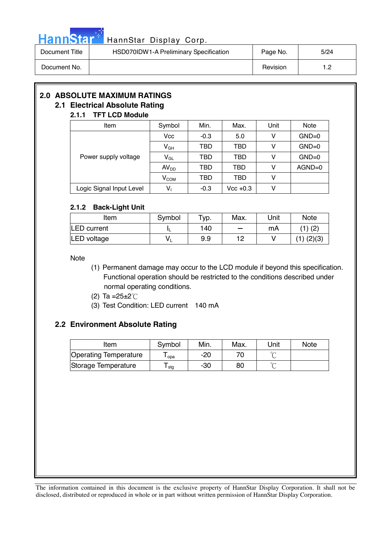

# Hann Star<sup>t HannStar</sup> Display Corp.

| Document Title | HSD070IDW1-A Preliminary Specification | Page No. | 5/24 |
|----------------|----------------------------------------|----------|------|
| Document No.   |                                        | Revision |      |

### **2.0 ABSOLUTE MAXIMUM RATINGS**

### **2.1 Electrical Absolute Rating**

#### **2.1.1 TFT LCD Module**

| Item                     | Symbol           | Min.   | Max.        | Unit | <b>Note</b> |
|--------------------------|------------------|--------|-------------|------|-------------|
|                          | <b>Vcc</b>       | $-0.3$ | 5.0         | v    | $GND=0$     |
|                          | $V_{GH}$         | TBD    | <b>TBD</b>  | ۷    | $GND=0$     |
| Power supply voltage     | $V_{GL}$         | TBD    | <b>TBD</b>  | ۷    | $GND=0$     |
|                          | AV <sub>DD</sub> | TBD    | TBD         | v    | $AGND=0$    |
|                          | $\rm V_{COM}$    | TBD    | TBD         | ۷    |             |
| Logic Signal Input Level | $V_1$            | $-0.3$ | $Vec + 0.3$ | ν    |             |

#### **2.1.2 Back-Light Unit**

| Item               | Symbol | $\tau_{VD}$ . | Max. | Unit | <b>Note</b>    |
|--------------------|--------|---------------|------|------|----------------|
| <b>LED</b> current |        | 140           |      | mA   | $(1)$ $(2)$    |
| <b>LED</b> voltage | ٧      | 9.9           | 1 2  |      | $(1)$ $(2)(3)$ |

Note

- (1) Permanent damage may occur to the LCD module if beyond this specification. Functional operation should be restricted to the conditions described under normal operating conditions.
- (2) Ta =  $25 \pm 2^{\circ}$ C
- (3) Test Condition: LED current 140 mA

#### **2.2 Environment Absolute Rating**

| Item                         | Symbol | Min. | Max. | Unit | <b>Note</b> |
|------------------------------|--------|------|------|------|-------------|
| <b>Operating Temperature</b> | opa    | -20  |      |      |             |
| Storage Temperature          | stg    | -30  | 80   |      |             |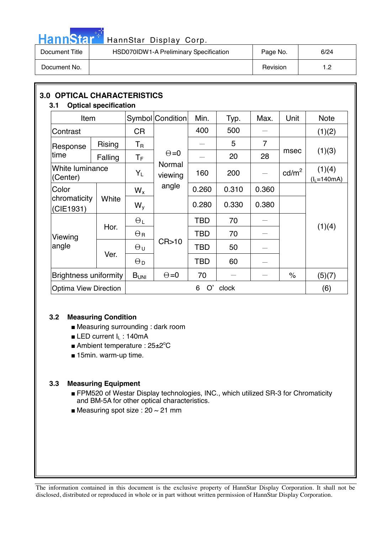

# HannStar<sup>t HannStar</sup> Display Corp.

| Document Title | HSD070IDW1-A Preliminary Specification | Page No. | 6/24       |
|----------------|----------------------------------------|----------|------------|
| Document No.   |                                        | Revision | 1 ຕ<br>ے ، |

| <b>OPTICAL CHARACTERISTICS</b><br>3.0<br>3.1 | <b>Optical specification</b> |                       |                   |            |       |                 |                      |                           |
|----------------------------------------------|------------------------------|-----------------------|-------------------|------------|-------|-----------------|----------------------|---------------------------|
| Item                                         |                              |                       | Symbol Condition  | Min.       | Typ.  | Max.            | Unit                 | <b>Note</b>               |
| Contrast                                     |                              | <b>CR</b>             |                   | 400        | 500   |                 |                      | (1)(2)                    |
| Response                                     | <b>Rising</b>                | $T_{\rm R}$           |                   |            | 5     | 7               |                      |                           |
| time                                         | Falling                      | $T_{\mathsf{F}}$      | $\Theta = 0$      |            | 20    | 28              | msec                 | (1)(3)                    |
| White luminance<br>(Center)                  |                              | $Y_L$                 | Normal<br>viewing | 160        | 200   | $\qquad \qquad$ | $\text{cd/m}^2$      | (1)(4)<br>$(l_L = 140mA)$ |
| Color                                        |                              | $W_{x}$               | angle             | 0.260      | 0.310 | 0.360           |                      |                           |
| chromaticity<br>(CIE1931)                    | White                        | $W_{V}$               |                   | 0.280      | 0.330 | 0.380           |                      |                           |
|                                              | Hor.                         | $\Theta_L$            |                   | TBD        | 70    |                 |                      | (1)(4)                    |
| Viewing                                      |                              | $\Theta_{\rm R}$      |                   | <b>TBD</b> | 70    |                 |                      |                           |
| angle                                        | Ver.                         | θυ                    | CR > 10           | <b>TBD</b> | 50    |                 |                      |                           |
|                                              |                              | $\Theta_{\mathsf{D}}$ |                   | <b>TBD</b> | 60    |                 |                      |                           |
| <b>Brightness uniformity</b>                 |                              | B <sub>UNI</sub>      | $\Theta = 0$      | 70         |       |                 | $\frac{1}{\sqrt{2}}$ | (5)(7)                    |
| <b>Optima View Direction</b>                 |                              |                       |                   | O'<br>6    | clock |                 |                      | (6)                       |

#### **3.2 Measuring Condition**

- Measuring surrounding : dark room
- LED current I<sub>L</sub>: 140mA
- Ambient temperature : 25±2°C
- 15min. warm-up time.

#### **3.3 Measuring Equipment**

- FPM520 of Westar Display technologies, INC., which utilized SR-3 for Chromaticity and BM-5A for other optical characteristics.
- Measuring spot size :  $20 \sim 21$  mm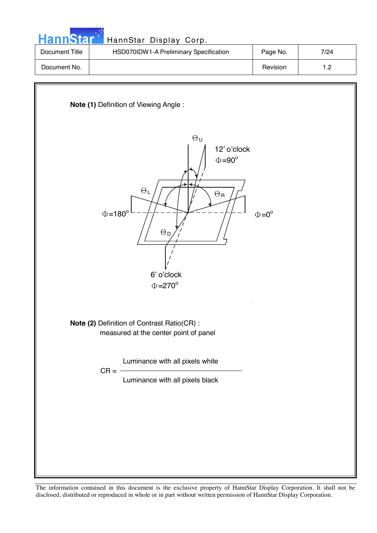| <b>HannStar</b> * | HannStar Display Corp.                 |          |      |
|-------------------|----------------------------------------|----------|------|
| Document Title    | HSD070IDW1-A Preliminary Specification | Page No. | 7/24 |
| Document No.      |                                        | Revision | 1.2  |

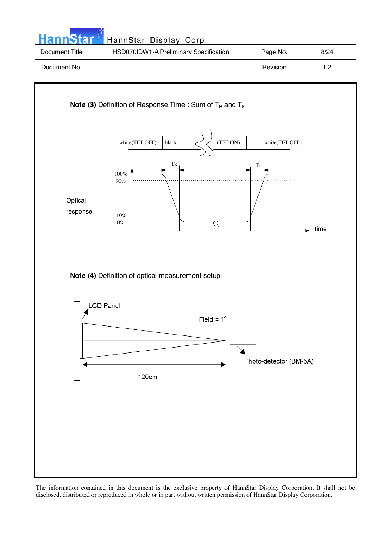| <b>HannStar</b> | HannStar Display Corp.                 |          |      |
|-----------------|----------------------------------------|----------|------|
| Document Title  | HSD070IDW1-A Preliminary Specification | Page No. | 8/24 |
| Document No.    |                                        | Revision | 1.2  |
|                 |                                        |          |      |

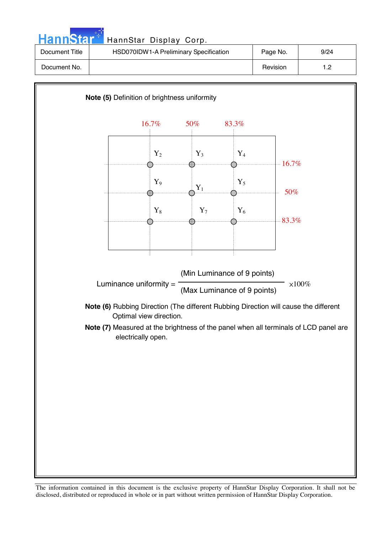| HannStar <sup>**</sup> | HannStar Display Corp.                 |          |      |
|------------------------|----------------------------------------|----------|------|
| Document Title         | HSD070IDW1-A Preliminary Specification | Page No. | 9/24 |
| Document No.           |                                        | Revision | 1.2  |

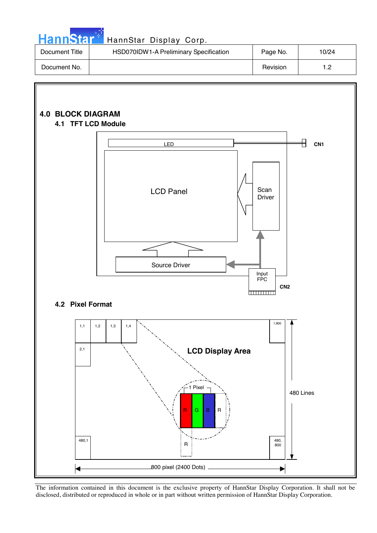| HannStar Display Corp. |  |
|------------------------|--|
|                        |  |

| <b>HannStar</b> * | HannStar Display Corp.                 |          |       |
|-------------------|----------------------------------------|----------|-------|
| Document Title    | HSD070IDW1-A Preliminary Specification | Page No. | 10/24 |
| Document No.      |                                        | Revision | 1.2   |

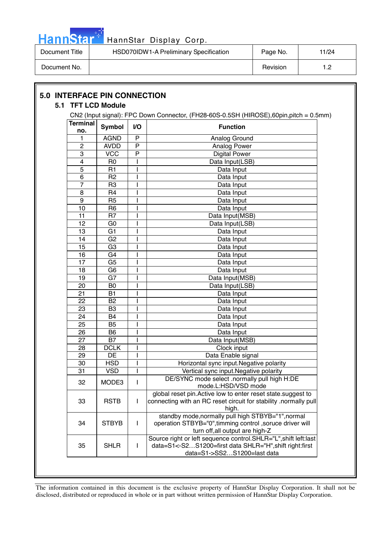

| Document Title | HSD070IDW1-A Preliminary Specification | Page No. | 11/24 |
|----------------|----------------------------------------|----------|-------|
| Document No.   |                                        | Revision | י-    |

|                        |                |              | CN2 (Input signal): FPC Down Connector, (FH28-60S-0.5SH (HIROSE),60pin,pitch = 0.5mm)                                                                      |
|------------------------|----------------|--------------|------------------------------------------------------------------------------------------------------------------------------------------------------------|
| <b>Terminal</b><br>no. | <b>Symbol</b>  | I/O          | <b>Function</b>                                                                                                                                            |
| 1                      | <b>AGND</b>    | P            | Analog Ground                                                                                                                                              |
| $\overline{c}$         | <b>AVDD</b>    | $\mathsf{P}$ | Analog Power                                                                                                                                               |
| 3                      | <b>VCC</b>     | P            | <b>Digital Power</b>                                                                                                                                       |
| 4                      | R <sub>0</sub> |              | Data Input(LSB)                                                                                                                                            |
| 5                      | R1             |              | Data Input                                                                                                                                                 |
| 6                      | R <sub>2</sub> |              | Data Input                                                                                                                                                 |
| 7                      | R <sub>3</sub> |              | Data Input                                                                                                                                                 |
| 8                      | R <sub>4</sub> |              | Data Input                                                                                                                                                 |
| 9                      | R <sub>5</sub> |              | Data Input                                                                                                                                                 |
| 10                     | R <sub>6</sub> |              | Data Input                                                                                                                                                 |
| 11                     | R <sub>7</sub> |              | Data Input(MSB)                                                                                                                                            |
| 12                     | G <sub>0</sub> |              | Data Input(LSB)                                                                                                                                            |
| 13                     | G <sub>1</sub> |              | Data Input                                                                                                                                                 |
| 14                     | G2             |              | Data Input                                                                                                                                                 |
| 15                     | G <sub>3</sub> |              | Data Input                                                                                                                                                 |
| 16                     | G4             |              | Data Input                                                                                                                                                 |
| 17                     | G <sub>5</sub> |              | Data Input                                                                                                                                                 |
| 18                     | G <sub>6</sub> |              | Data Input                                                                                                                                                 |
| 19                     | G7             |              | Data Input(MSB)                                                                                                                                            |
| 20                     | B <sub>0</sub> |              | Data Input(LSB)                                                                                                                                            |
| 21                     | <b>B1</b>      |              | Data Input                                                                                                                                                 |
| 22                     | <b>B2</b>      |              | Data Input                                                                                                                                                 |
| 23                     | B <sub>3</sub> |              | Data Input                                                                                                                                                 |
| 24                     | <b>B4</b>      |              | Data Input                                                                                                                                                 |
| 25                     | B <sub>5</sub> |              | Data Input                                                                                                                                                 |
| 26                     | B <sub>6</sub> |              | Data Input                                                                                                                                                 |
| 27                     | <b>B7</b>      |              | Data Input(MSB)                                                                                                                                            |
| 28                     | <b>DCLK</b>    |              | Clock input                                                                                                                                                |
| 29                     | DE             |              | Data Enable signal                                                                                                                                         |
| 30                     | <b>HSD</b>     |              | Horizontal sync input. Negative polarity                                                                                                                   |
| 31                     | <b>VSD</b>     | $\mathsf{I}$ | Vertical sync input. Negative polarity                                                                                                                     |
| 32                     | MODE3          | $\mathbf{I}$ | DE/SYNC mode select .normally pull high H:DE<br>mode.L:HSD/VSD mode                                                                                        |
| 33                     | <b>RSTB</b>    | $\mathbf{I}$ | global reset pin. Active low to enter reset state. suggest to<br>connecting with an RC reset circuit for stability .normally pull<br>high.                 |
| 34                     | <b>STBYB</b>   | L            | standby mode, normally pull high STBYB="1", normal<br>operation STBYB="0", timming control , soruce driver will<br>turn off, all output are high-Z         |
| 35                     | <b>SHLR</b>    | I            | Source right or left sequence control. SHLR="L", shift left:last<br>data=S1<-S2S1200=first data SHLR="H", shift right:first<br>data=S1->SS2S1200=last data |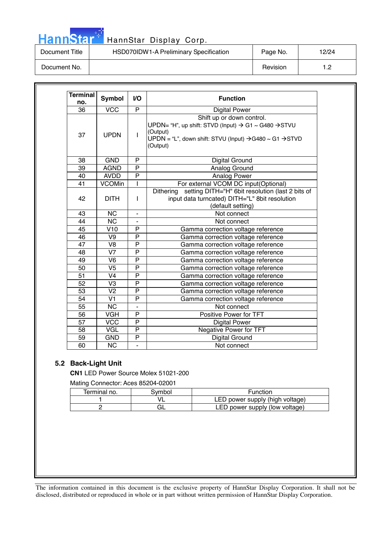## HannStar<sup>®</sup>

### HannStar Display Corp.

Document Title | HSD070IDW1-A Preliminary Specification | Page No. | 12/24

Document No. 1.2

| <b>Terminal</b><br>no. | <b>Symbol</b>            | I/O            | <b>Function</b>                                                                                                                             |
|------------------------|--------------------------|----------------|---------------------------------------------------------------------------------------------------------------------------------------------|
| 36                     | <b>VCC</b>               | P              | <b>Digital Power</b>                                                                                                                        |
|                        |                          |                | Shift up or down control.                                                                                                                   |
| 37                     | <b>UPDN</b>              | $\mathbf{I}$   | UPDN= "H", up shift: STVD (Input) → G1 ~ G480 → STVU<br>(Output)<br>UPDN = "L", down shift: STVU (Input) → G480 ~ G1 → STVD<br>(Output)     |
| 38                     | <b>GND</b>               | P              | Digital Ground                                                                                                                              |
| 39                     | <b>AGND</b>              | $\overline{P}$ | Analog Ground                                                                                                                               |
| 40                     | <b>AVDD</b>              | P              | Analog Power                                                                                                                                |
| $\overline{41}$        | <b>VCOMin</b>            | T              | For external VCOM DC input(Optional)                                                                                                        |
| 42                     | <b>DITH</b>              | $\mathbf{I}$   | setting DITH="H" 6bit resolution (last 2 bits of<br><b>Dithering</b><br>input data turncated) DITH="L" 8bit resolution<br>(default setting) |
| 43                     | <b>NC</b>                | $\blacksquare$ | Not connect                                                                                                                                 |
| 44                     | <b>NC</b>                | $\blacksquare$ | Not connect                                                                                                                                 |
| 45                     | V10                      | P              | Gamma correction voltage reference                                                                                                          |
| 46                     | V9                       | $\mathsf{P}$   | Gamma correction voltage reference                                                                                                          |
| 47                     | V <sub>8</sub>           | P              | Gamma correction voltage reference                                                                                                          |
| 48                     | $\overline{\mathsf{V7}}$ | $\overline{P}$ | Gamma correction voltage reference                                                                                                          |
| 49                     | V <sub>6</sub>           | P              | Gamma correction voltage reference                                                                                                          |
| 50                     | $\overline{\mathsf{V}5}$ | $\overline{P}$ | Gamma correction voltage reference                                                                                                          |
| $\overline{51}$        | $\overline{\mathsf{V}4}$ | $\overline{P}$ | Gamma correction voltage reference                                                                                                          |
| 52                     | V3                       | P              | Gamma correction voltage reference                                                                                                          |
| 53                     | V <sub>2</sub>           | P              | Gamma correction voltage reference                                                                                                          |
| 54                     | $\overline{\mathsf{V1}}$ | $\overline{P}$ | Gamma correction voltage reference                                                                                                          |
| 55                     | <b>NC</b>                | ÷,             | Not connect                                                                                                                                 |
| 56                     | <b>VGH</b>               | P              | Positive Power for TFT                                                                                                                      |
| 57                     | <b>VCC</b>               | $\overline{P}$ | <b>Digital Power</b>                                                                                                                        |
| 58                     | VGL                      | $\mathsf{P}$   | <b>Negative Power for TFT</b>                                                                                                               |
| 59                     | <b>GND</b>               | ${\sf P}$      | Digital Ground                                                                                                                              |
| 60                     | $\overline{\text{NC}}$   | L.             | Not connect                                                                                                                                 |

#### **5.2 Back-Light Unit**

**CN1** LED Power Source Molex 51021-200

Mating Connector: Aces 85204-02001

| Terminal no. | 3vmbol. | Function                        |
|--------------|---------|---------------------------------|
|              |         | LED power supply (high voltage) |
|              |         | LED power supply (low voltage)  |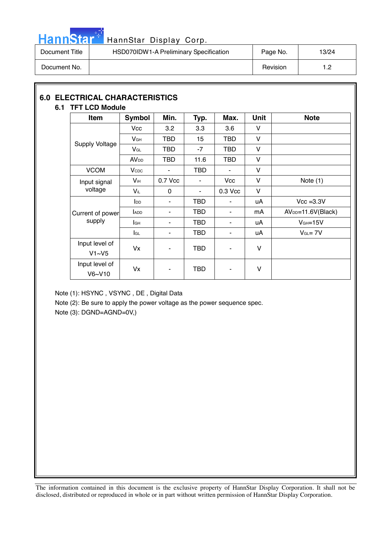

# HannStar<sup>: HannStar Display Corp.</sup>

| Document Title | HSD070IDW1-A Preliminary Specification | Page No. | 13/24 |
|----------------|----------------------------------------|----------|-------|
| Document No.   |                                        | Revision | ר +   |

#### **6.0 ELECTRICAL CHARACTERISTICS 6.1 TFT LCD Module**

| <b>Item</b>              | Symbol                  | Min.       | Typ.       | Max.                     | <b>Unit</b>  | <b>Note</b>         |
|--------------------------|-------------------------|------------|------------|--------------------------|--------------|---------------------|
|                          | Vcc                     | 3.2        | 3.3        | 3.6                      | V            |                     |
|                          | V <sub>GH</sub>         | <b>TBD</b> | 15         | TBD                      | V            |                     |
| <b>Supply Voltage</b>    | $V_{GL}$                | TBD        | $-7$       | TBD                      | $\vee$       |                     |
|                          | <b>AV</b> <sub>DD</sub> | TBD        | 11.6       | TBD                      | $\vee$       |                     |
| <b>VCOM</b>              | <b>V</b> <sub>CDC</sub> | ٠          | <b>TBD</b> | $\overline{\phantom{a}}$ | V            |                     |
| Input signal             | $V_{\text{iH}}$         | 0.7 Vcc    |            | Vcc                      | V            | Note $(1)$          |
| voltage                  | $V_{iL}$                | $\Omega$   | $\sim$     | 0.3 Vcc                  | V            |                     |
|                          | $I_{DD}$                | ٠          | TBD        | ٠                        | uA           | $Vcc = 3.3V$        |
| Current of power         | <b>ADD</b>              |            | TBD        |                          | mA           | $AVDD=11.6V(Black)$ |
| supply                   | lсн                     | ٠          | TBD        | ٠                        | uA           | $VGH=15V$           |
|                          | lgL                     | ٠          | TBD        | ٠                        | uA           | $V_{GL} = 7V$       |
| Input level of<br>V1~V5  | Vx                      |            | <b>TBD</b> |                          | $\mathsf{V}$ |                     |
| Input level of<br>V6~V10 | Vx                      |            | <b>TBD</b> |                          | V            |                     |

Note (1): HSYNC , VSYNC , DE , Digital Data

Note (2): Be sure to apply the power voltage as the power sequence spec.

Note (3): DGND=AGND=0V,)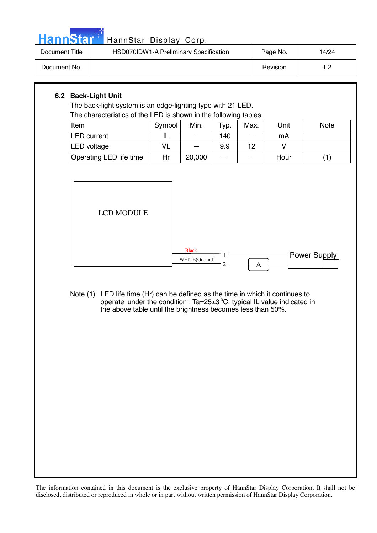

# HannStar<sup>#</sup> HannStar Display Corp.

| Document Title | HSD070IDW1-A Preliminary Specification | Page No. | 14/24 |
|----------------|----------------------------------------|----------|-------|
| Document No.   |                                        | Revision |       |

#### **6.2 Back-Light Unit**

The back-light system is an edge-lighting type with 21 LED. The characteristics of the LED is shown in the following tables.

| Item                    | Symbol | Min.   | Typ. | Max. | Unit | <b>Note</b> |
|-------------------------|--------|--------|------|------|------|-------------|
| <b>LED</b> current      |        |        | 140  |      | mA   |             |
| LED voltage             | VL     |        | 9.9  | 12   |      |             |
| Operating LED life time | Hr     | 20,000 |      |      | Hour |             |



Note (1) LED life time (Hr) can be defined as the time in which it continues to operate under the condition :  $Ta = 25 \pm 3\degree C$ , typical IL value indicated in the above table until the brightness becomes less than 50%.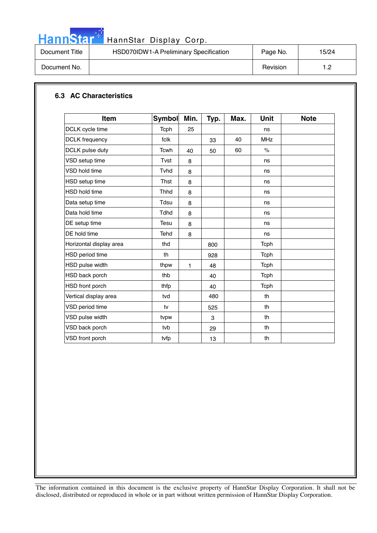

# HannStar<sup>t HannStar Display Corp.</sup>

| Document Title | HSD070IDW1-A Preliminary Specification | Page No. | 15/24 |
|----------------|----------------------------------------|----------|-------|
| Document No.   |                                        | Revision |       |

#### **6.3 AC Characteristics**

| <b>Item</b>             | <b>Symbol</b> | Min. | Typ. | Max. | <b>Unit</b>          | <b>Note</b> |
|-------------------------|---------------|------|------|------|----------------------|-------------|
| DCLK cycle time         | Tcph          | 25   |      |      | ns                   |             |
| <b>DCLK</b> frequency   | fclk          |      | 33   | 40   | <b>MHz</b>           |             |
| DCLK pulse duty         | <b>Tcwh</b>   | 40   | 50   | 60   | $\frac{1}{\sqrt{2}}$ |             |
| VSD setup time          | Tvst          | 8    |      |      | ns                   |             |
| VSD hold time           | Tyhd          | 8    |      |      | ns                   |             |
| <b>HSD</b> setup time   | Thst          | 8    |      |      | ns                   |             |
| <b>HSD hold time</b>    | <b>Thhd</b>   | 8    |      |      | ns                   |             |
| Data setup time         | Tdsu          | 8    |      |      | ns                   |             |
| Data hold time          | <b>Tdhd</b>   | 8    |      |      | ns                   |             |
| DE setup time           | Tesu          | 8    |      |      | ns                   |             |
| DE hold time            | Tehd          | 8    |      |      | ns                   |             |
| Horizontal display area | thd           |      | 800  |      | Tcph                 |             |
| HSD period time         | th            |      | 928  |      | Tcph                 |             |
| HSD pulse width         | thpw          | 1    | 48   |      | Tcph                 |             |
| HSD back porch          | thb           |      | 40   |      | Tcph                 |             |
| HSD front porch         | thfp          |      | 40   |      | Tcph                 |             |
| Vertical display area   | tvd           |      | 480  |      | th                   |             |
| VSD period time         | tv            |      | 525  |      | th                   |             |
| VSD pulse width         | tvpw          |      | 3    |      | th                   |             |
| VSD back porch          | tvb           |      | 29   |      | th                   |             |
| VSD front porch         | tvfp          |      | 13   |      | th                   |             |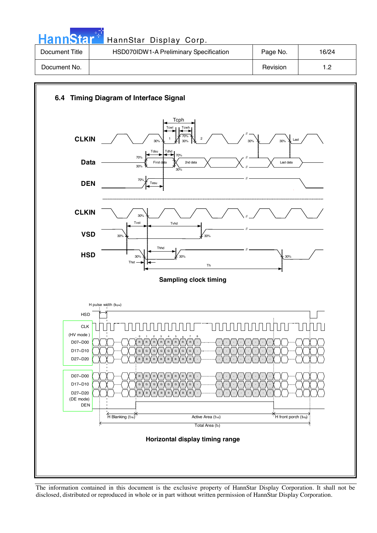| <b>HannStar</b> * | HannStar Display Corp.                 |          |       |
|-------------------|----------------------------------------|----------|-------|
| Document Title    | HSD070IDW1-A Preliminary Specification | Page No. | 16/24 |
| Document No.      |                                        | Revision | 1.2   |

والمراد



The information contained in this document is the exclusive property of HannStar Display Corporation. It shall not be disclosed, distributed or reproduced in whole or in part without written permission of HannStar Display Corporation.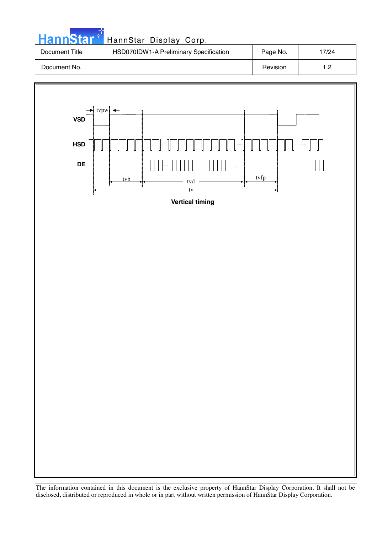| <b>HannStart</b> | HannStar Display Corp.                 |          |       |
|------------------|----------------------------------------|----------|-------|
| Document Title   | HSD070IDW1-A Preliminary Specification | Page No. | 17/24 |
| Document No.     |                                        | Revision | 1.2   |

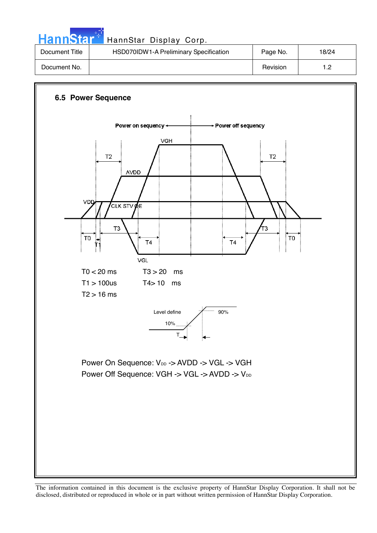**Hann**Star HannStar Display Corp. Document Title | HSD070IDW1-A Preliminary Specification | Page No. | 18/24 Document No. 1.2

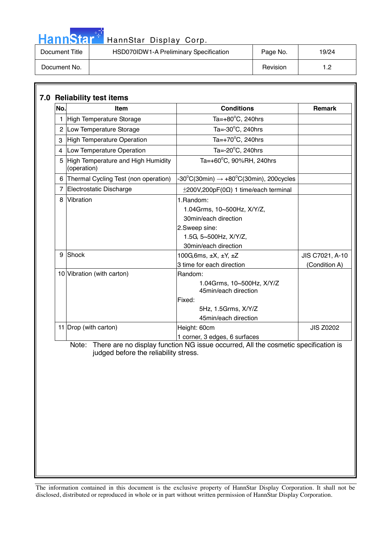# HannStar<sup>27</sup> HannStar Display Corp.

| Document Title | HSD070IDW1-A Preliminary Specification | Page No. | 19/24 |
|----------------|----------------------------------------|----------|-------|
| Document No.   |                                        | Revision | י -   |

| No.          | Item                                              | <b>Conditions</b>                                                                                                                 | Remark           |
|--------------|---------------------------------------------------|-----------------------------------------------------------------------------------------------------------------------------------|------------------|
| $\mathbf{1}$ | High Temperature Storage                          | Ta= $+80^{\circ}$ C, 240hrs                                                                                                       |                  |
|              | 2 Low Temperature Storage                         | Ta= $-30^{\circ}$ C, 240hrs                                                                                                       |                  |
| 3            | High Temperature Operation                        | Ta= $+70^{\circ}$ C, 240hrs                                                                                                       |                  |
|              | 4 Low Temperature Operation                       | Ta=-20°C, 240hrs                                                                                                                  |                  |
| 5            | High Temperature and High Humidity<br>(operation) | Ta=+60 $^{\circ}$ C, 90%RH, 240hrs                                                                                                |                  |
|              | 6 Thermal Cycling Test (non operation)            | -30°C(30min) $\rightarrow$ +80°C(30min), 200cycles                                                                                |                  |
|              | 7 Electrostatic Discharge                         | $\pm$ 200V,200pF(0 $\Omega$ ) 1 time/each terminal                                                                                |                  |
| 8            | Vibration                                         | 1.Random:<br>1.04Grms, 10~500Hz, X/Y/Z,<br>30min/each direction<br>2.Sweep sine:<br>1.5G, 5~500Hz, X/Y/Z,<br>30min/each direction |                  |
| 9            | Shock                                             | 100G, 6ms, $\pm X$ , $\pm Y$ , $\pm Z$                                                                                            | JIS C7021, A-10  |
|              |                                                   | 3 time for each direction                                                                                                         | (Condition A)    |
|              | 10 Vibration (with carton)                        | Random:<br>1.04Grms, 10~500Hz, X/Y/Z<br>45min/each direction<br>Fixed:<br>5Hz, 1.5Grms, X/Y/Z<br>45min/each direction             |                  |
|              | 11 Drop (with carton)                             | Height: 60cm<br>1 corner, 3 edges, 6 surfaces                                                                                     | <b>JIS Z0202</b> |
|              | judged before the reliability stress.             | Note: There are no display function NG issue occurred, All the cosmetic specification is                                          |                  |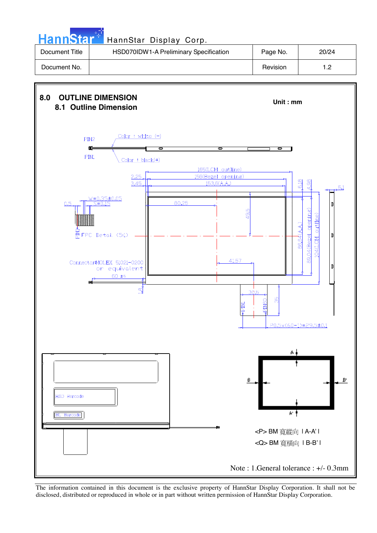**Hann**Star HannStar Display Corp. Document Title | HSD070IDW1-A Preliminary Specification | Page No. | 20/24 Document No. | Nevision | 1.2

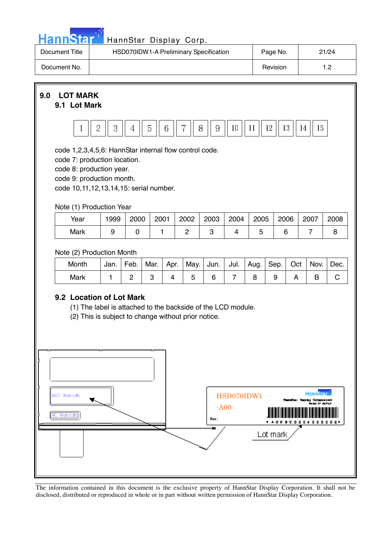|  |  | <b>HannStar</b> |  |
|--|--|-----------------|--|
|  |  |                 |  |
|  |  |                 |  |

### HannStar Display Corp.

| Document Title | HSD070IDW1-A Preliminary Specification | Page No. | 21/24               |
|----------------|----------------------------------------|----------|---------------------|
| Document No.   |                                        | Revision | ר י<br>. . <u>.</u> |

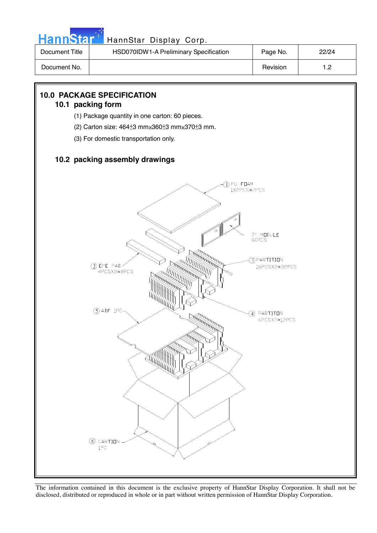

| Document Title | HSD070IDW1-A Preliminary Specification | Page No. | 22/24 |
|----------------|----------------------------------------|----------|-------|
| Document No.   |                                        | Revision | - מ   |

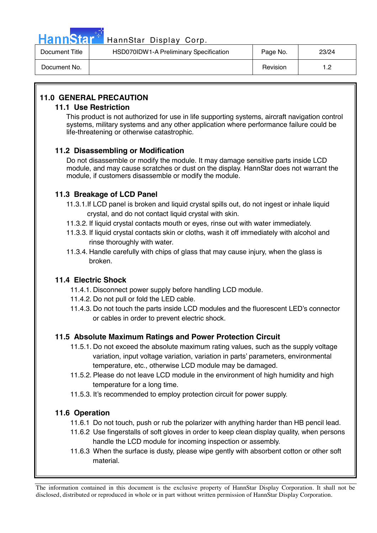

## Hann Star<sup>47</sup> HannStar Display Corp.

| Document Title | HSD070IDW1-A Preliminary Specification | Page No. | 23/24 |
|----------------|----------------------------------------|----------|-------|
| Document No.   |                                        | Revision | 12    |

### **11.0 GENERAL PRECAUTION**

#### **11.1 Use Restriction**

This product is not authorized for use in life supporting systems, aircraft navigation control systems, military systems and any other application where performance failure could be life-threatening or otherwise catastrophic.

#### **11.2 Disassembling or Modification**

 Do not disassemble or modify the module. It may damage sensitive parts inside LCD module, and may cause scratches or dust on the display. HannStar does not warrant the module, if customers disassemble or modify the module.

#### **11.3 Breakage of LCD Panel**

- 11.3.1.If LCD panel is broken and liquid crystal spills out, do not ingest or inhale liquid crystal, and do not contact liquid crystal with skin.
- 11.3.2. If liquid crystal contacts mouth or eyes, rinse out with water immediately.
- 11.3.3. If liquid crystal contacts skin or cloths, wash it off immediately with alcohol and rinse thoroughly with water.
- 11.3.4. Handle carefully with chips of glass that may cause injury, when the glass is broken.

#### **11.4 Electric Shock**

- 11.4.1. Disconnect power supply before handling LCD module.
- 11.4.2. Do not pull or fold the LED cable.
- 11.4.3. Do not touch the parts inside LCD modules and the fluorescent LED's connector or cables in order to prevent electric shock.

#### **11.5 Absolute Maximum Ratings and Power Protection Circuit**

- 11.5.1. Do not exceed the absolute maximum rating values, such as the supply voltage variation, input voltage variation, variation in parts' parameters, environmental temperature, etc., otherwise LCD module may be damaged.
- 11.5.2. Please do not leave LCD module in the environment of high humidity and high temperature for a long time.
- 11.5.3. It's recommended to employ protection circuit for power supply.

#### **11.6 Operation**

- 11.6.1 Do not touch, push or rub the polarizer with anything harder than HB pencil lead.
- 11.6.2 Use fingerstalls of soft gloves in order to keep clean display quality, when persons handle the LCD module for incoming inspection or assembly.
- 11.6.3 When the surface is dusty, please wipe gently with absorbent cotton or other soft material.